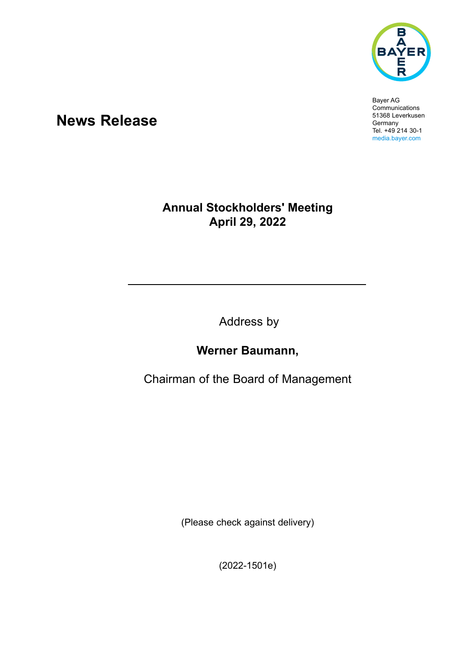

Bayer AG **Communications** 51368 Leverkusen Germany Tel. +49 214 30-1 media.bayer.com

## **News Release**

## **Annual Stockholders' Meeting April 29, 2022**

Address by

## **Werner Baumann,**

Chairman of the Board of Management

(Please check against delivery)

(2022-1501e)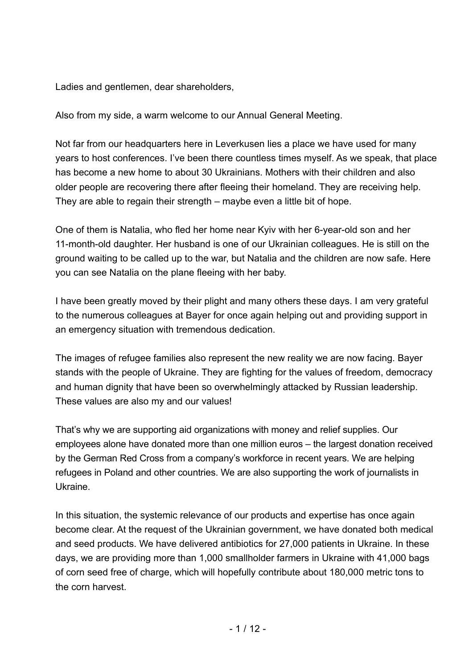Ladies and gentlemen, dear shareholders,

Also from my side, a warm welcome to our Annual General Meeting.

Not far from our headquarters here in Leverkusen lies a place we have used for many years to host conferences. I've been there countless times myself. As we speak, that place has become a new home to about 30 Ukrainians. Mothers with their children and also older people are recovering there after fleeing their homeland. They are receiving help. They are able to regain their strength – maybe even a little bit of hope.

One of them is Natalia, who fled her home near Kyiv with her 6-year-old son and her 11-month-old daughter. Her husband is one of our Ukrainian colleagues. He is still on the ground waiting to be called up to the war, but Natalia and the children are now safe. Here you can see Natalia on the plane fleeing with her baby.

I have been greatly moved by their plight and many others these days. I am very grateful to the numerous colleagues at Bayer for once again helping out and providing support in an emergency situation with tremendous dedication.

The images of refugee families also represent the new reality we are now facing. Bayer stands with the people of Ukraine. They are fighting for the values of freedom, democracy and human dignity that have been so overwhelmingly attacked by Russian leadership. These values are also my and our values!

That's why we are supporting aid organizations with money and relief supplies. Our employees alone have donated more than one million euros – the largest donation received by the German Red Cross from a company's workforce in recent years. We are helping refugees in Poland and other countries. We are also supporting the work of journalists in Ukraine.

In this situation, the systemic relevance of our products and expertise has once again become clear. At the request of the Ukrainian government, we have donated both medical and seed products. We have delivered antibiotics for 27,000 patients in Ukraine. In these days, we are providing more than 1,000 smallholder farmers in Ukraine with 41,000 bags of corn seed free of charge, which will hopefully contribute about 180,000 metric tons to the corn harvest.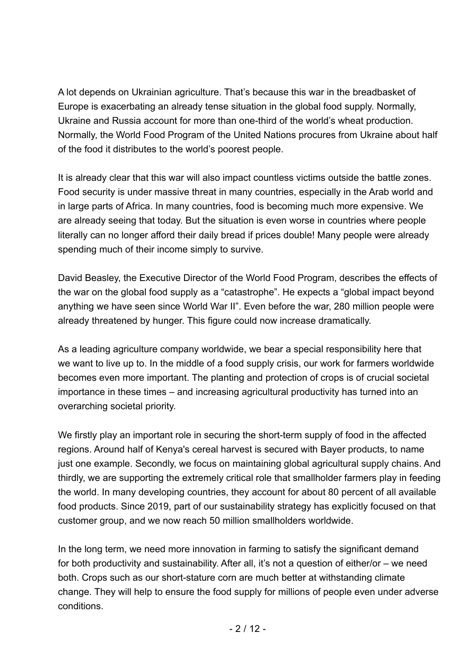A lot depends on Ukrainian agriculture. That's because this war in the breadbasket of Europe is exacerbating an already tense situation in the global food supply. Normally, Ukraine and Russia account for more than one-third of the world's wheat production. Normally, the World Food Program of the United Nations procures from Ukraine about half of the food it distributes to the world's poorest people.

It is already clear that this war will also impact countless victims outside the battle zones. Food security is under massive threat in many countries, especially in the Arab world and in large parts of Africa. In many countries, food is becoming much more expensive. We are already seeing that today. But the situation is even worse in countries where people literally can no longer afford their daily bread if prices double! Many people were already spending much of their income simply to survive.

David Beasley, the Executive Director of the World Food Program, describes the effects of the war on the global food supply as a "catastrophe". He expects a "global impact beyond anything we have seen since World War II". Even before the war, 280 million people were already threatened by hunger. This figure could now increase dramatically.

As a leading agriculture company worldwide, we bear a special responsibility here that we want to live up to. In the middle of a food supply crisis, our work for farmers worldwide becomes even more important. The planting and protection of crops is of crucial societal importance in these times – and increasing agricultural productivity has turned into an overarching societal priority.

We firstly play an important role in securing the short-term supply of food in the affected regions. Around half of Kenya's cereal harvest is secured with Bayer products, to name just one example. Secondly, we focus on maintaining global agricultural supply chains. And thirdly, we are supporting the extremely critical role that smallholder farmers play in feeding the world. In many developing countries, they account for about 80 percent of all available food products. Since 2019, part of our sustainability strategy has explicitly focused on that customer group, and we now reach 50 million smallholders worldwide.

In the long term, we need more innovation in farming to satisfy the significant demand for both productivity and sustainability. After all, it's not a question of either/or – we need both. Crops such as our short-stature corn are much better at withstanding climate change. They will help to ensure the food supply for millions of people even under adverse conditions.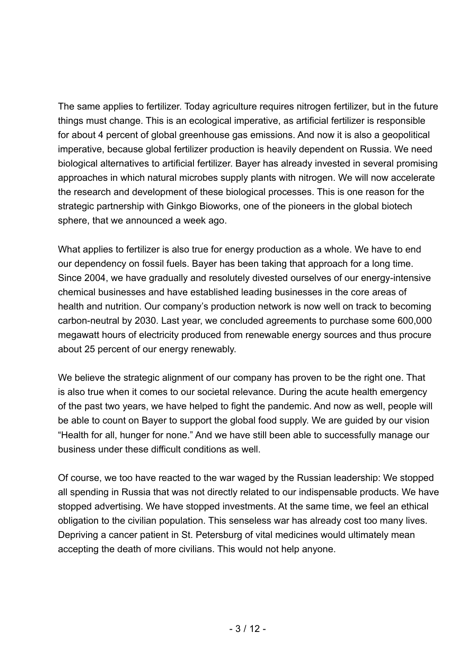The same applies to fertilizer. Today agriculture requires nitrogen fertilizer, but in the future things must change. This is an ecological imperative, as artificial fertilizer is responsible for about 4 percent of global greenhouse gas emissions. And now it is also a geopolitical imperative, because global fertilizer production is heavily dependent on Russia. We need biological alternatives to artificial fertilizer. Bayer has already invested in several promising approaches in which natural microbes supply plants with nitrogen. We will now accelerate the research and development of these biological processes. This is one reason for the strategic partnership with Ginkgo Bioworks, one of the pioneers in the global biotech sphere, that we announced a week ago.

What applies to fertilizer is also true for energy production as a whole. We have to end our dependency on fossil fuels. Bayer has been taking that approach for a long time. Since 2004, we have gradually and resolutely divested ourselves of our energy-intensive chemical businesses and have established leading businesses in the core areas of health and nutrition. Our company's production network is now well on track to becoming carbon-neutral by 2030. Last year, we concluded agreements to purchase some 600,000 megawatt hours of electricity produced from renewable energy sources and thus procure about 25 percent of our energy renewably.

We believe the strategic alignment of our company has proven to be the right one. That is also true when it comes to our societal relevance. During the acute health emergency of the past two years, we have helped to fight the pandemic. And now as well, people will be able to count on Bayer to support the global food supply. We are guided by our vision "Health for all, hunger for none." And we have still been able to successfully manage our business under these difficult conditions as well.

Of course, we too have reacted to the war waged by the Russian leadership: We stopped all spending in Russia that was not directly related to our indispensable products. We have stopped advertising. We have stopped investments. At the same time, we feel an ethical obligation to the civilian population. This senseless war has already cost too many lives. Depriving a cancer patient in St. Petersburg of vital medicines would ultimately mean accepting the death of more civilians. This would not help anyone.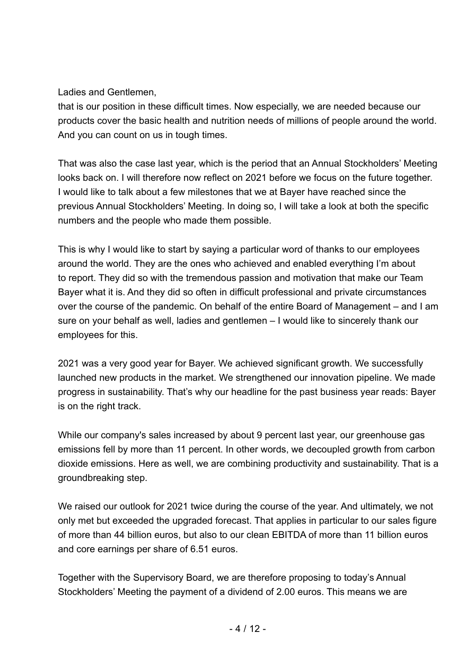Ladies and Gentlemen,

that is our position in these difficult times. Now especially, we are needed because our products cover the basic health and nutrition needs of millions of people around the world. And you can count on us in tough times.

That was also the case last year, which is the period that an Annual Stockholders' Meeting looks back on. I will therefore now reflect on 2021 before we focus on the future together. I would like to talk about a few milestones that we at Bayer have reached since the previous Annual Stockholders' Meeting. In doing so, I will take a look at both the specific numbers and the people who made them possible.

This is why I would like to start by saying a particular word of thanks to our employees around the world. They are the ones who achieved and enabled everything I'm about to report. They did so with the tremendous passion and motivation that make our Team Bayer what it is. And they did so often in difficult professional and private circumstances over the course of the pandemic. On behalf of the entire Board of Management – and I am sure on your behalf as well, ladies and gentlemen – I would like to sincerely thank our employees for this.

2021 was a very good year for Bayer. We achieved significant growth. We successfully launched new products in the market. We strengthened our innovation pipeline. We made progress in sustainability. That's why our headline for the past business year reads: Bayer is on the right track.

While our company's sales increased by about 9 percent last year, our greenhouse gas emissions fell by more than 11 percent. In other words, we decoupled growth from carbon dioxide emissions. Here as well, we are combining productivity and sustainability. That is a groundbreaking step.

We raised our outlook for 2021 twice during the course of the year. And ultimately, we not only met but exceeded the upgraded forecast. That applies in particular to our sales figure of more than 44 billion euros, but also to our clean EBITDA of more than 11 billion euros and core earnings per share of 6.51 euros.

Together with the Supervisory Board, we are therefore proposing to today's Annual Stockholders' Meeting the payment of a dividend of 2.00 euros. This means we are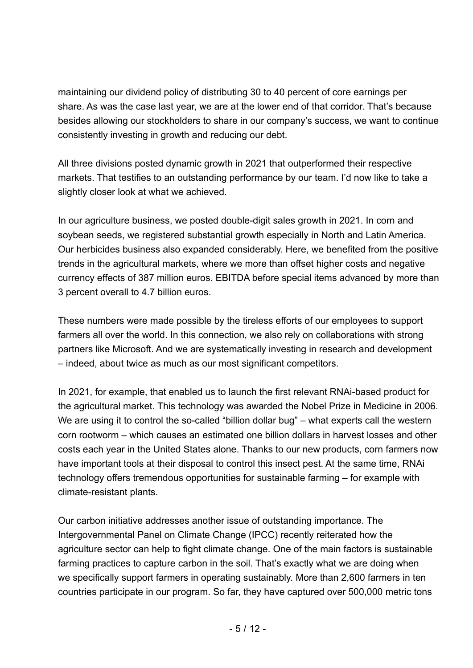maintaining our dividend policy of distributing 30 to 40 percent of core earnings per share. As was the case last year, we are at the lower end of that corridor. That's because besides allowing our stockholders to share in our company's success, we want to continue consistently investing in growth and reducing our debt.

All three divisions posted dynamic growth in 2021 that outperformed their respective markets. That testifies to an outstanding performance by our team. I'd now like to take a slightly closer look at what we achieved.

In our agriculture business, we posted double-digit sales growth in 2021. In corn and soybean seeds, we registered substantial growth especially in North and Latin America. Our herbicides business also expanded considerably. Here, we benefited from the positive trends in the agricultural markets, where we more than offset higher costs and negative currency effects of 387 million euros. EBITDA before special items advanced by more than 3 percent overall to 4.7 billion euros.

These numbers were made possible by the tireless efforts of our employees to support farmers all over the world. In this connection, we also rely on collaborations with strong partners like Microsoft. And we are systematically investing in research and development – indeed, about twice as much as our most significant competitors.

In 2021, for example, that enabled us to launch the first relevant RNAi-based product for the agricultural market. This technology was awarded the Nobel Prize in Medicine in 2006. We are using it to control the so-called "billion dollar bug" – what experts call the western corn rootworm – which causes an estimated one billion dollars in harvest losses and other costs each year in the United States alone. Thanks to our new products, corn farmers now have important tools at their disposal to control this insect pest. At the same time, RNAi technology offers tremendous opportunities for sustainable farming – for example with climate-resistant plants.

Our carbon initiative addresses another issue of outstanding importance. The Intergovernmental Panel on Climate Change (IPCC) recently reiterated how the agriculture sector can help to fight climate change. One of the main factors is sustainable farming practices to capture carbon in the soil. That's exactly what we are doing when we specifically support farmers in operating sustainably. More than 2,600 farmers in ten countries participate in our program. So far, they have captured over 500,000 metric tons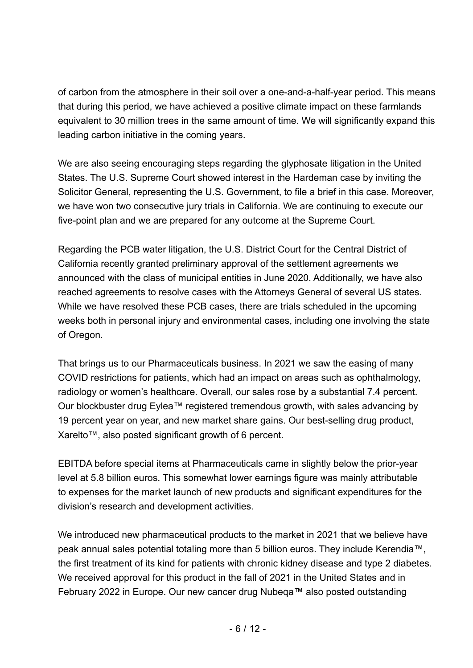of carbon from the atmosphere in their soil over a one-and-a-half-year period. This means that during this period, we have achieved a positive climate impact on these farmlands equivalent to 30 million trees in the same amount of time. We will significantly expand this leading carbon initiative in the coming years.

We are also seeing encouraging steps regarding the glyphosate litigation in the United States. The U.S. Supreme Court showed interest in the Hardeman case by inviting the Solicitor General, representing the U.S. Government, to file a brief in this case. Moreover, we have won two consecutive jury trials in California. We are continuing to execute our five-point plan and we are prepared for any outcome at the Supreme Court.

Regarding the PCB water litigation, the U.S. District Court for the Central District of California recently granted preliminary approval of the settlement agreements we announced with the class of municipal entities in June 2020. Additionally, we have also reached agreements to resolve cases with the Attorneys General of several US states. While we have resolved these PCB cases, there are trials scheduled in the upcoming weeks both in personal injury and environmental cases, including one involving the state of Oregon.

That brings us to our Pharmaceuticals business. In 2021 we saw the easing of many COVID restrictions for patients, which had an impact on areas such as ophthalmology, radiology or women's healthcare. Overall, our sales rose by a substantial 7.4 percent. Our blockbuster drug Eylea™ registered tremendous growth, with sales advancing by 19 percent year on year, and new market share gains. Our best-selling drug product, Xarelto™, also posted significant growth of 6 percent.

EBITDA before special items at Pharmaceuticals came in slightly below the prior-year level at 5.8 billion euros. This somewhat lower earnings figure was mainly attributable to expenses for the market launch of new products and significant expenditures for the division's research and development activities.

We introduced new pharmaceutical products to the market in 2021 that we believe have peak annual sales potential totaling more than 5 billion euros. They include Kerendia™, the first treatment of its kind for patients with chronic kidney disease and type 2 diabetes. We received approval for this product in the fall of 2021 in the United States and in February 2022 in Europe. Our new cancer drug Nubeqa™ also posted outstanding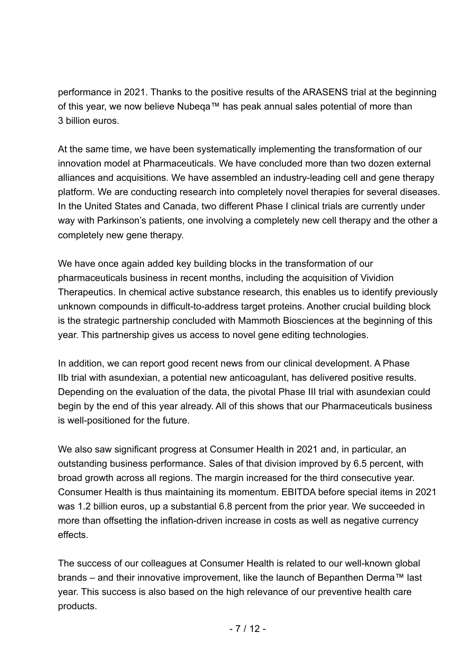performance in 2021. Thanks to the positive results of the ARASENS trial at the beginning of this year, we now believe Nubeqa™ has peak annual sales potential of more than 3 billion euros.

At the same time, we have been systematically implementing the transformation of our innovation model at Pharmaceuticals. We have concluded more than two dozen external alliances and acquisitions. We have assembled an industry-leading cell and gene therapy platform. We are conducting research into completely novel therapies for several diseases. In the United States and Canada, two different Phase I clinical trials are currently under way with Parkinson's patients, one involving a completely new cell therapy and the other a completely new gene therapy.

We have once again added key building blocks in the transformation of our pharmaceuticals business in recent months, including the acquisition of Vividion Therapeutics. In chemical active substance research, this enables us to identify previously unknown compounds in difficult-to-address target proteins. Another crucial building block is the strategic partnership concluded with Mammoth Biosciences at the beginning of this year. This partnership gives us access to novel gene editing technologies.

In addition, we can report good recent news from our clinical development. A Phase IIb trial with asundexian, a potential new anticoagulant, has delivered positive results. Depending on the evaluation of the data, the pivotal Phase III trial with asundexian could begin by the end of this year already. All of this shows that our Pharmaceuticals business is well-positioned for the future.

We also saw significant progress at Consumer Health in 2021 and, in particular, an outstanding business performance. Sales of that division improved by 6.5 percent, with broad growth across all regions. The margin increased for the third consecutive year. Consumer Health is thus maintaining its momentum. EBITDA before special items in 2021 was 1.2 billion euros, up a substantial 6.8 percent from the prior year. We succeeded in more than offsetting the inflation-driven increase in costs as well as negative currency effects.

The success of our colleagues at Consumer Health is related to our well-known global brands – and their innovative improvement, like the launch of Bepanthen Derma™ last year. This success is also based on the high relevance of our preventive health care products.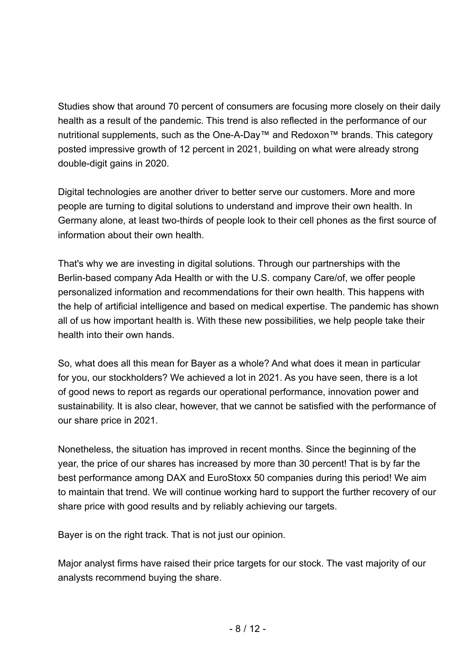Studies show that around 70 percent of consumers are focusing more closely on their daily health as a result of the pandemic. This trend is also reflected in the performance of our nutritional supplements, such as the One-A-Day™ and Redoxon™ brands. This category posted impressive growth of 12 percent in 2021, building on what were already strong double-digit gains in 2020.

Digital technologies are another driver to better serve our customers. More and more people are turning to digital solutions to understand and improve their own health. In Germany alone, at least two-thirds of people look to their cell phones as the first source of information about their own health.

That's why we are investing in digital solutions. Through our partnerships with the Berlin-based company Ada Health or with the U.S. company Care/of, we offer people personalized information and recommendations for their own health. This happens with the help of artificial intelligence and based on medical expertise. The pandemic has shown all of us how important health is. With these new possibilities, we help people take their health into their own hands.

So, what does all this mean for Bayer as a whole? And what does it mean in particular for you, our stockholders? We achieved a lot in 2021. As you have seen, there is a lot of good news to report as regards our operational performance, innovation power and sustainability. It is also clear, however, that we cannot be satisfied with the performance of our share price in 2021.

Nonetheless, the situation has improved in recent months. Since the beginning of the year, the price of our shares has increased by more than 30 percent! That is by far the best performance among DAX and EuroStoxx 50 companies during this period! We aim to maintain that trend. We will continue working hard to support the further recovery of our share price with good results and by reliably achieving our targets.

Bayer is on the right track. That is not just our opinion.

Major analyst firms have raised their price targets for our stock. The vast majority of our analysts recommend buying the share.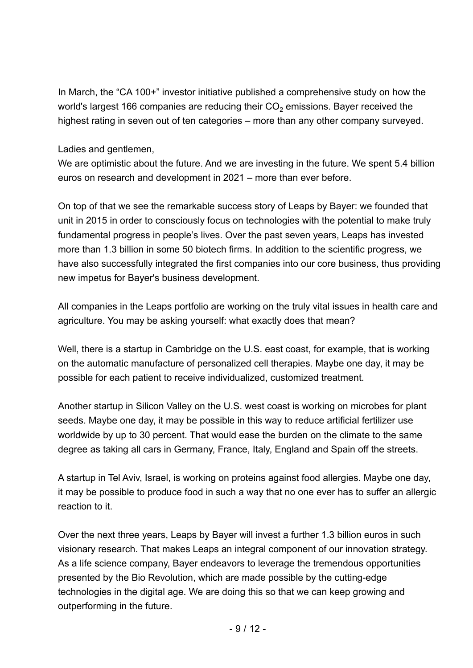In March, the "CA 100+" investor initiative published a comprehensive study on how the world's largest 166 companies are reducing their  $CO<sub>2</sub>$  emissions. Bayer received the highest rating in seven out of ten categories – more than any other company surveyed.

Ladies and gentlemen,

We are optimistic about the future. And we are investing in the future. We spent 5.4 billion euros on research and development in 2021 – more than ever before.

On top of that we see the remarkable success story of Leaps by Bayer: we founded that unit in 2015 in order to consciously focus on technologies with the potential to make truly fundamental progress in people's lives. Over the past seven years, Leaps has invested more than 1.3 billion in some 50 biotech firms. In addition to the scientific progress, we have also successfully integrated the first companies into our core business, thus providing new impetus for Bayer's business development.

All companies in the Leaps portfolio are working on the truly vital issues in health care and agriculture. You may be asking yourself: what exactly does that mean?

Well, there is a startup in Cambridge on the U.S. east coast, for example, that is working on the automatic manufacture of personalized cell therapies. Maybe one day, it may be possible for each patient to receive individualized, customized treatment.

Another startup in Silicon Valley on the U.S. west coast is working on microbes for plant seeds. Maybe one day, it may be possible in this way to reduce artificial fertilizer use worldwide by up to 30 percent. That would ease the burden on the climate to the same degree as taking all cars in Germany, France, Italy, England and Spain off the streets.

A startup in Tel Aviv, Israel, is working on proteins against food allergies. Maybe one day, it may be possible to produce food in such a way that no one ever has to suffer an allergic reaction to it.

Over the next three years, Leaps by Bayer will invest a further 1.3 billion euros in such visionary research. That makes Leaps an integral component of our innovation strategy. As a life science company, Bayer endeavors to leverage the tremendous opportunities presented by the Bio Revolution, which are made possible by the cutting-edge technologies in the digital age. We are doing this so that we can keep growing and outperforming in the future.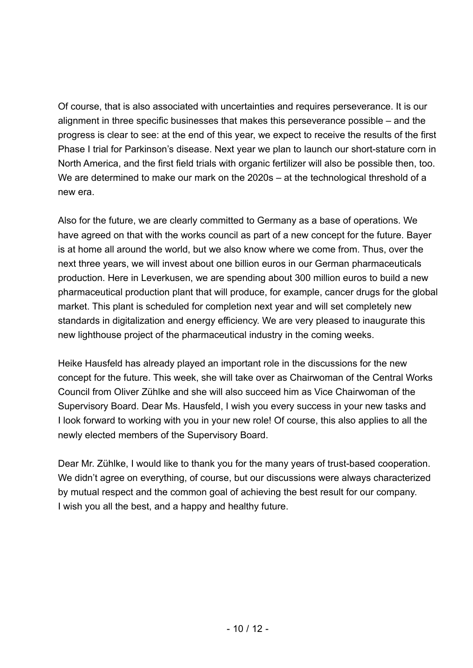Of course, that is also associated with uncertainties and requires perseverance. It is our alignment in three specific businesses that makes this perseverance possible – and the progress is clear to see: at the end of this year, we expect to receive the results of the first Phase I trial for Parkinson's disease. Next year we plan to launch our short-stature corn in North America, and the first field trials with organic fertilizer will also be possible then, too. We are determined to make our mark on the 2020s – at the technological threshold of a new era.

Also for the future, we are clearly committed to Germany as a base of operations. We have agreed on that with the works council as part of a new concept for the future. Bayer is at home all around the world, but we also know where we come from. Thus, over the next three years, we will invest about one billion euros in our German pharmaceuticals production. Here in Leverkusen, we are spending about 300 million euros to build a new pharmaceutical production plant that will produce, for example, cancer drugs for the global market. This plant is scheduled for completion next year and will set completely new standards in digitalization and energy efficiency. We are very pleased to inaugurate this new lighthouse project of the pharmaceutical industry in the coming weeks.

Heike Hausfeld has already played an important role in the discussions for the new concept for the future. This week, she will take over as Chairwoman of the Central Works Council from Oliver Zühlke and she will also succeed him as Vice Chairwoman of the Supervisory Board. Dear Ms. Hausfeld, I wish you every success in your new tasks and I look forward to working with you in your new role! Of course, this also applies to all the newly elected members of the Supervisory Board.

Dear Mr. Zühlke, I would like to thank you for the many years of trust-based cooperation. We didn't agree on everything, of course, but our discussions were always characterized by mutual respect and the common goal of achieving the best result for our company. I wish you all the best, and a happy and healthy future.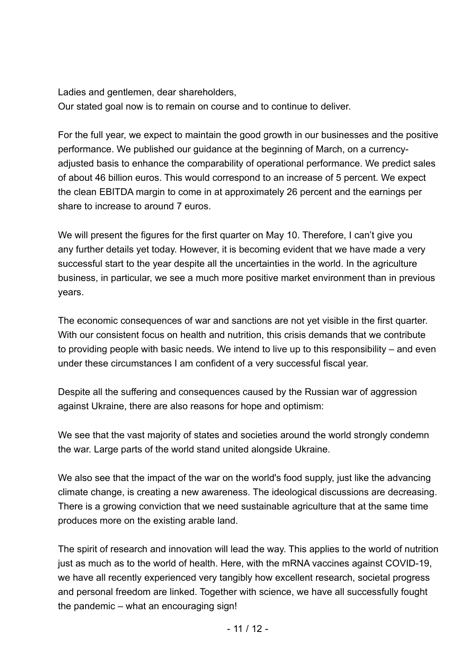Ladies and gentlemen, dear shareholders, Our stated goal now is to remain on course and to continue to deliver.

For the full year, we expect to maintain the good growth in our businesses and the positive performance. We published our guidance at the beginning of March, on a currencyadjusted basis to enhance the comparability of operational performance. We predict sales of about 46 billion euros. This would correspond to an increase of 5 percent. We expect the clean EBITDA margin to come in at approximately 26 percent and the earnings per share to increase to around 7 euros.

We will present the figures for the first quarter on May 10. Therefore, I can't give you any further details yet today. However, it is becoming evident that we have made a very successful start to the year despite all the uncertainties in the world. In the agriculture business, in particular, we see a much more positive market environment than in previous years.

The economic consequences of war and sanctions are not yet visible in the first quarter. With our consistent focus on health and nutrition, this crisis demands that we contribute to providing people with basic needs. We intend to live up to this responsibility – and even under these circumstances I am confident of a very successful fiscal year.

Despite all the suffering and consequences caused by the Russian war of aggression against Ukraine, there are also reasons for hope and optimism:

We see that the vast majority of states and societies around the world strongly condemn the war. Large parts of the world stand united alongside Ukraine.

We also see that the impact of the war on the world's food supply, just like the advancing climate change, is creating a new awareness. The ideological discussions are decreasing. There is a growing conviction that we need sustainable agriculture that at the same time produces more on the existing arable land.

The spirit of research and innovation will lead the way. This applies to the world of nutrition just as much as to the world of health. Here, with the mRNA vaccines against COVID-19, we have all recently experienced very tangibly how excellent research, societal progress and personal freedom are linked. Together with science, we have all successfully fought the pandemic – what an encouraging sign!